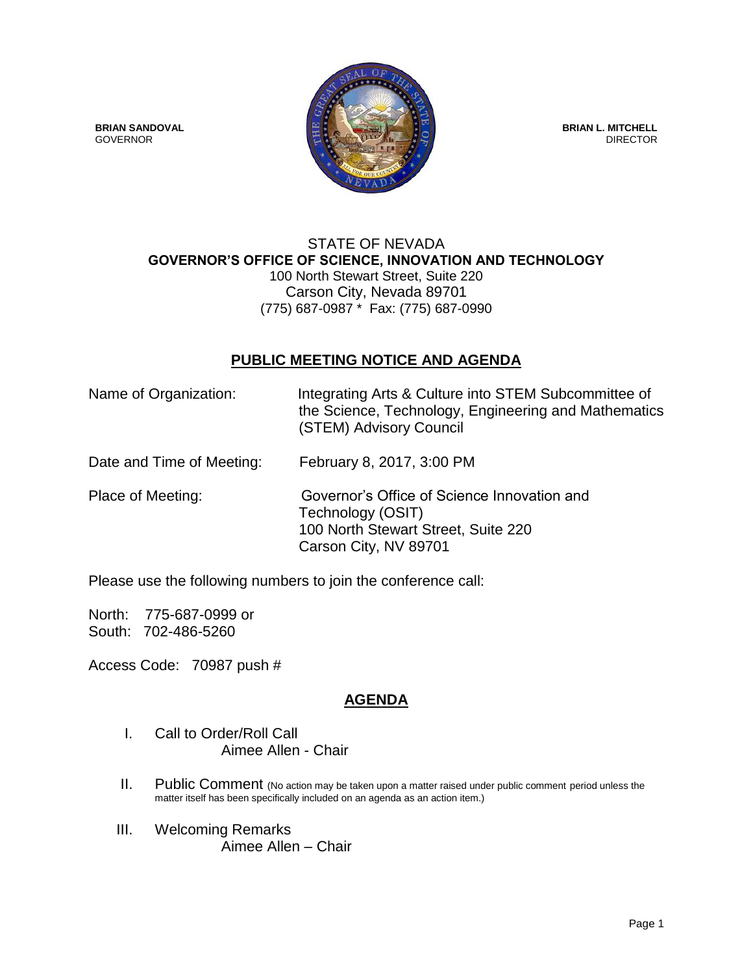

## STATE OF NEVADA **GOVERNOR'S OFFICE OF SCIENCE, INNOVATION AND TECHNOLOGY** 100 North Stewart Street, Suite 220 Carson City, Nevada 89701 (775) 687-0987 \* Fax: (775) 687-0990

## **PUBLIC MEETING NOTICE AND AGENDA**

| Name of Organization:     | Integrating Arts & Culture into STEM Subcommittee of<br>the Science, Technology, Engineering and Mathematics<br>(STEM) Advisory Council |
|---------------------------|-----------------------------------------------------------------------------------------------------------------------------------------|
| Date and Time of Meeting: | February 8, 2017, 3:00 PM                                                                                                               |
| Place of Meeting:         | Governor's Office of Science Innovation and<br>Technology (OSIT)<br>100 North Stewart Street, Suite 220<br>Carson City, NV 89701        |

Please use the following numbers to join the conference call:

North: 775-687-0999 or South: 702-486-5260

Access Code: 70987 push #

## **AGENDA**

- I. Call to Order/Roll Call Aimee Allen - Chair
- II. Public Comment (No action may be taken upon a matter raised under public comment period unless the matter itself has been specifically included on an agenda as an action item.)
- III. Welcoming Remarks Aimee Allen – Chair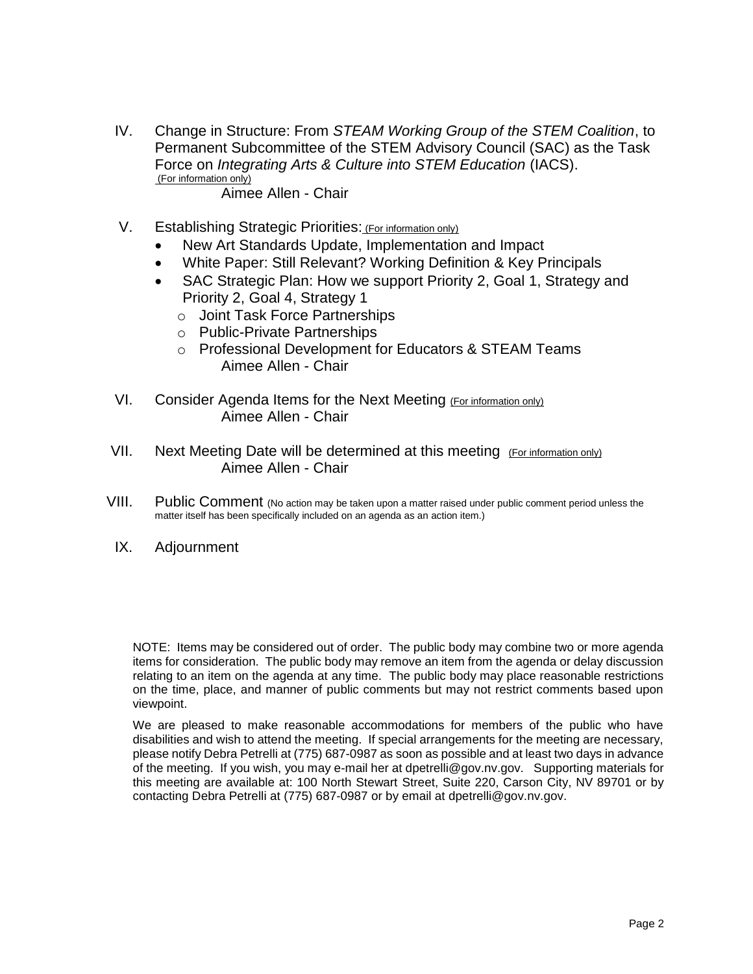IV. Change in Structure: From *STEAM Working Group of the STEM Coalition*, to Permanent Subcommittee of the STEM Advisory Council (SAC) as the Task Force on *Integrating Arts & Culture into STEM Education* (IACS). (For information only)

Aimee Allen - Chair

- V. Establishing Strategic Priorities: (For information only)
	- New Art Standards Update, Implementation and Impact
	- White Paper: Still Relevant? Working Definition & Key Principals
	- SAC Strategic Plan: How we support Priority 2, Goal 1, Strategy and Priority 2, Goal 4, Strategy 1
		- o Joint Task Force Partnerships
		- o Public-Private Partnerships
		- o Professional Development for Educators & STEAM Teams Aimee Allen - Chair
- VI. Consider Agenda Items for the Next Meeting (For information only) Aimee Allen - Chair
- VII. Next Meeting Date will be determined at this meeting (For information only) Aimee Allen - Chair
- VIII. Public Comment (No action may be taken upon a matter raised under public comment period unless the matter itself has been specifically included on an agenda as an action item.)
	- IX. Adjournment

NOTE: Items may be considered out of order. The public body may combine two or more agenda items for consideration. The public body may remove an item from the agenda or delay discussion relating to an item on the agenda at any time. The public body may place reasonable restrictions on the time, place, and manner of public comments but may not restrict comments based upon viewpoint.

We are pleased to make reasonable accommodations for members of the public who have disabilities and wish to attend the meeting. If special arrangements for the meeting are necessary, please notify Debra Petrelli at (775) 687-0987 as soon as possible and at least two days in advance of the meeting. If you wish, you may e-mail her at dpetrelli@gov.nv.gov. Supporting materials for this meeting are available at: 100 North Stewart Street, Suite 220, Carson City, NV 89701 or by contacting Debra Petrelli at (775) 687-0987 or by email at dpetrelli@gov.nv.gov.